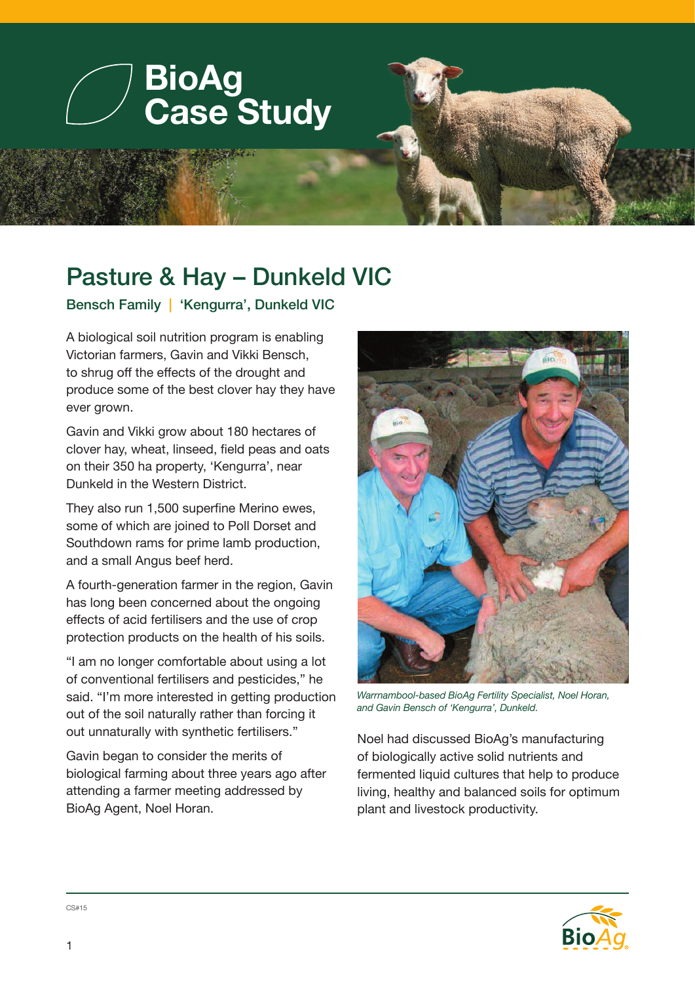

## Pasture & Hay – Dunkeld VIC

Bensch Family | 'Kengurra', Dunkeld VIC

A biological soil nutrition program is enabling Victorian farmers, Gavin and Vikki Bensch, to shrug off the effects of the drought and produce some of the best clover hay they have ever grown.

Gavin and Vikki grow about 180 hectares of clover hay, wheat, linseed, field peas and oats on their 350 ha property, 'Kengurra', near Dunkeld in the Western District.

They also run 1,500 superfine Merino ewes, some of which are joined to Poll Dorset and Southdown rams for prime lamb production, and a small Angus beef herd.

A fourth-generation farmer in the region, Gavin has long been concerned about the ongoing effects of acid fertilisers and the use of crop protection products on the health of his soils.

"I am no longer comfortable about using a lot of conventional fertilisers and pesticides," he said. "I'm more interested in getting production out of the soil naturally rather than forcing it out unnaturally with synthetic fertilisers."

Gavin began to consider the merits of biological farming about three years ago after attending a farmer meeting addressed by BioAg Agent, Noel Horan.



*Warrnambool-based BioAg Fertility Specialist, Noel Horan, and Gavin Bensch of 'Kengurra', Dunkeld.*

Noel had discussed BioAg's manufacturing of biologically active solid nutrients and fermented liquid cultures that help to produce living, healthy and balanced soils for optimum plant and livestock productivity.



CS#15